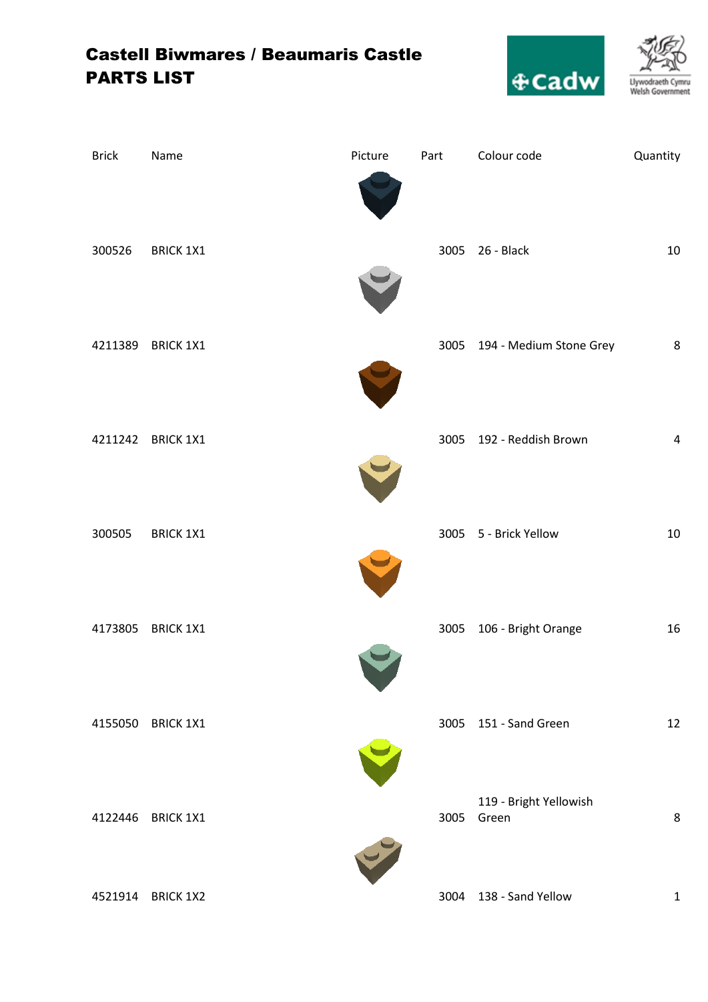## Castell Biwmares / Beaumaris Castle PARTS LIST



| <b>Brick</b> | Name              | Picture | Part | Colour code                     | Quantity     |
|--------------|-------------------|---------|------|---------------------------------|--------------|
| 300526       | <b>BRICK 1X1</b>  |         |      | 3005 26 - Black                 | 10           |
| 4211389      | <b>BRICK 1X1</b>  |         |      | 3005 194 - Medium Stone Grey    | 8            |
| 4211242      | <b>BRICK 1X1</b>  |         |      | 3005 192 - Reddish Brown        | $\pmb{4}$    |
| 300505       | <b>BRICK 1X1</b>  |         |      | 3005 5 - Brick Yellow           | 10           |
| 4173805      | <b>BRICK 1X1</b>  |         | 3005 | 106 - Bright Orange             | 16           |
|              | 4155050 BRICK 1X1 |         |      | 3005 151 - Sand Green           | 12           |
| 4122446      | <b>BRICK 1X1</b>  |         | 3005 | 119 - Bright Yellowish<br>Green | 8            |
|              | 4521914 BRICK 1X2 |         | 3004 | 138 - Sand Yellow               | $\mathbf{1}$ |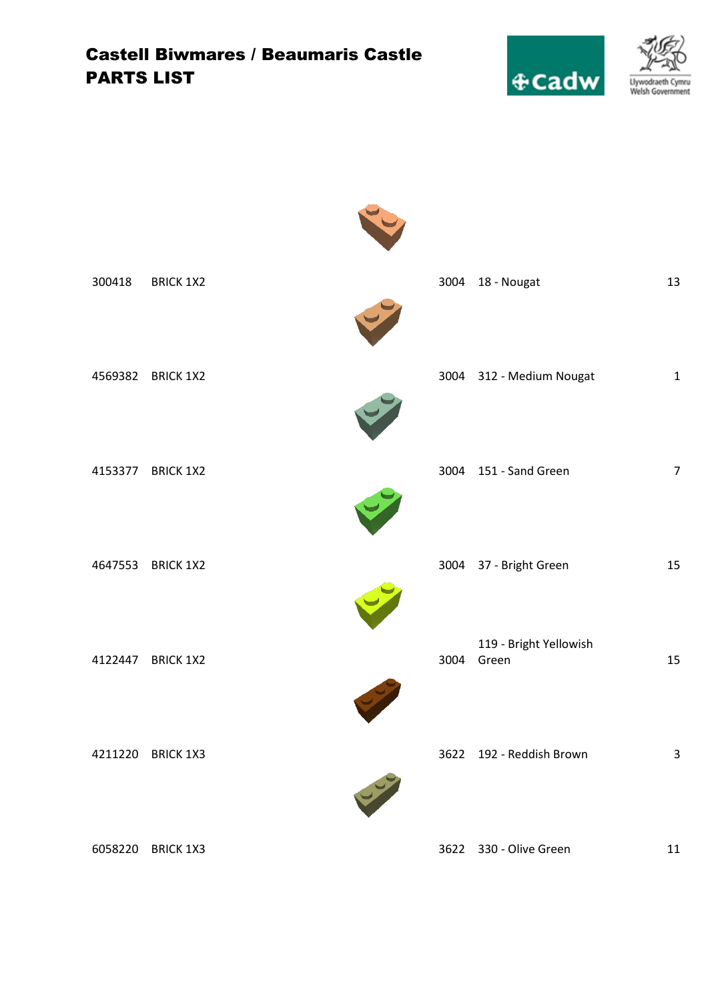## Castell Biwmares / Beaumaris Castle PARTS LIST



| 300418  | <b>BRICK 1X2</b> |   | 3004 | 18 - Nougat                     | 13               |
|---------|------------------|---|------|---------------------------------|------------------|
| 4569382 | <b>BRICK 1X2</b> |   |      | 3004 312 - Medium Nougat        | $\mathbf 1$      |
| 4153377 | <b>BRICK 1X2</b> |   |      | 3004 151 - Sand Green           | $\boldsymbol{7}$ |
| 4647553 | <b>BRICK 1X2</b> |   |      | 3004 37 - Bright Green          | 15               |
| 4122447 | <b>BRICK 1X2</b> |   | 3004 | 119 - Bright Yellowish<br>Green | 15               |
| 4211220 | <b>BRICK 1X3</b> |   |      | 3622 192 - Reddish Brown        | 3                |
|         |                  | 4 |      |                                 |                  |
| 6058220 | <b>BRICK 1X3</b> |   | 3622 | 330 - Olive Green               | $11\,$           |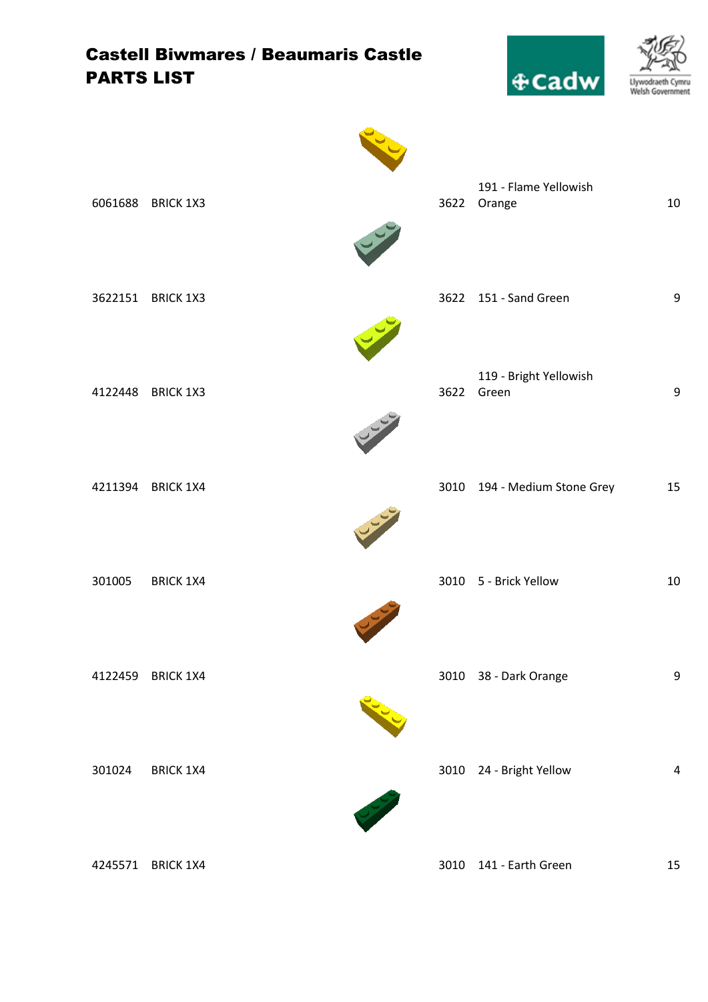| <b>PARTS LIST</b> | <b>Castell Biwmares / Beaumaris Castle</b> | $\&$ Cadw                            | Llywodraeth<br>Cymru<br>Welsh Government |
|-------------------|--------------------------------------------|--------------------------------------|------------------------------------------|
|                   | 6061688 BRICK 1X3                          | 191 - Flame Yellowish<br>3622 Orange | 10                                       |
|                   | 3622151 BRICK 1X3                          | 3622 151 - Sand Green                | 9                                        |
| 4122448           | <b>BRICK 1X3</b>                           | 119 - Bright Yellowish<br>3622 Green | 9                                        |
|                   | 4211394 BRICK 1X4                          | 3010 194 - Medium Stone Grey         | 15                                       |
| 301005            | <b>BRICK 1X4</b><br><b>Colem</b>           | 3010 5 - Brick Yellow                | 10                                       |
| 4122459           | <b>BRICK 1X4</b>                           | 3010 38 - Dark Orange                | 9                                        |
| 301024            | <b>BRICK 1X4</b>                           | 3010 24 - Bright Yellow              | 4                                        |



4245571 BRICK 1X4 3010 141 - Earth Green 15